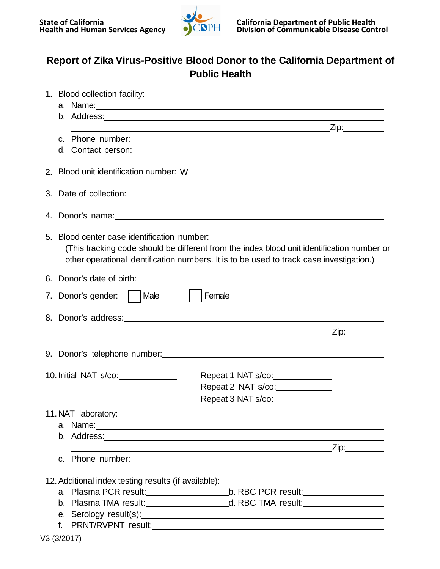

## **Report of Zika Virus-Positive Blood Donor to the California Department of Public Health**

| 1. Blood collection facility:                                                                                                                                                                                                    |                     |
|----------------------------------------------------------------------------------------------------------------------------------------------------------------------------------------------------------------------------------|---------------------|
| a. Name: 1. 2008. 2009. 2010. 2010. 2010. 2010. 2010. 2010. 2011. 2012. 2012. 2014. 2016. 2017. 2018. 2019. 20<br>2012. 2012. 2012. 2012. 2012. 2012. 2012. 2012. 2012. 2012. 2013. 2014. 2014. 2014. 2014. 2014. 2014. 2014. 20 |                     |
|                                                                                                                                                                                                                                  |                     |
|                                                                                                                                                                                                                                  |                     |
| d. Contact person: example and a series of the series of the series of the series of the series of the series of the series of the series of the series of the series of the series of the series of the series of the series    |                     |
|                                                                                                                                                                                                                                  |                     |
|                                                                                                                                                                                                                                  |                     |
|                                                                                                                                                                                                                                  |                     |
| (This tracking code should be different from the index blood unit identification number or<br>other operational identification numbers. It is to be used to track case investigation.)                                           |                     |
|                                                                                                                                                                                                                                  |                     |
| 7. Donor's gender:   Male<br>  Female                                                                                                                                                                                            |                     |
|                                                                                                                                                                                                                                  |                     |
|                                                                                                                                                                                                                                  |                     |
|                                                                                                                                                                                                                                  |                     |
|                                                                                                                                                                                                                                  |                     |
| 10. Initial NAT s/co: ______________<br>Repeat 1 NAT s/co:<br>Repeat 2 NAT s/co:                                                                                                                                                 |                     |
| Repeat 3 NAT s/co:                                                                                                                                                                                                               |                     |
| 11. NAT laboratory:                                                                                                                                                                                                              |                     |
| a. Name: 1. 2008. 2. 2009. 2. 2009. 2. 2009. 2. 2009. 2. 2009. 2. 2009. 2. 2009. 2. 2009. 2. 2009. 2. 2009. 2.                                                                                                                   |                     |
|                                                                                                                                                                                                                                  |                     |
|                                                                                                                                                                                                                                  | <u>Zip:________</u> |
| c. Phone number: with the contract of the contract of the contract of the contract of the contract of the contract of the contract of the contract of the contract of the contract of the contract of the contract of the cont   |                     |
|                                                                                                                                                                                                                                  |                     |
| 12. Additional index testing results (if available):                                                                                                                                                                             |                     |
| b. Plasma TMA result: _________________________d. RBC TMA result: _______________                                                                                                                                                |                     |
|                                                                                                                                                                                                                                  |                     |
|                                                                                                                                                                                                                                  |                     |
|                                                                                                                                                                                                                                  |                     |